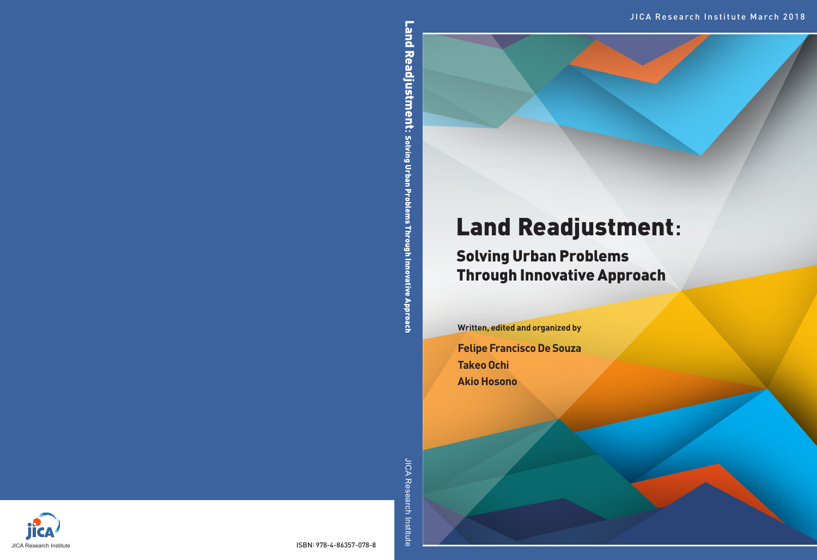# Land Readjustment:

## Solving Urban Problems Through Innovative Approach

**Written, edited and organized by**

**Felipe Francisco De Souza Takeo Ochi Akio Hosono**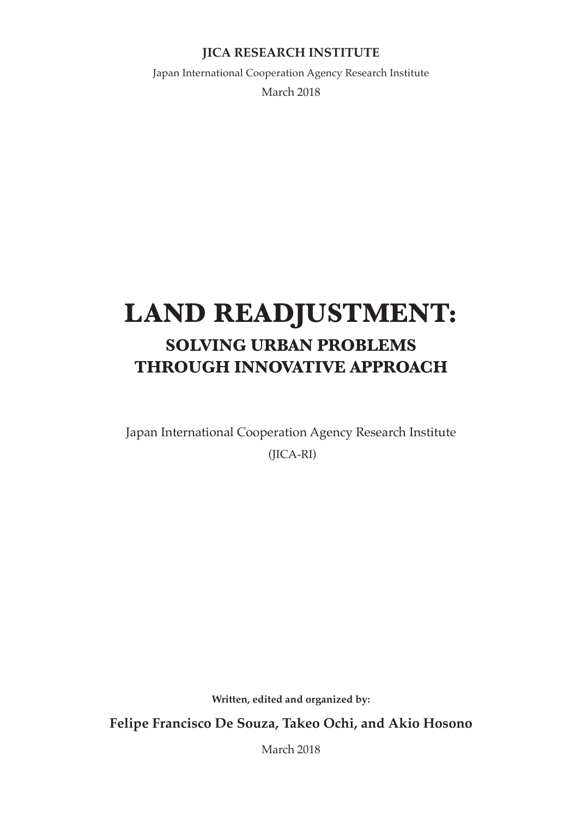#### **JICA RESEARCH INSTITUTE**

Japan International Cooperation Agency Research Institute March 2018

### **LAND READJUSTMENT: SOLVING URBAN PROBLEMS THROUGH INNOVATIVE APPROACH**

Japan International Cooperation Agency Research Institute (JICA-RI)

**Written, edited and organized by:**

**Felipe Francisco De Souza, Takeo Ochi, and Akio Hosono**

March 2018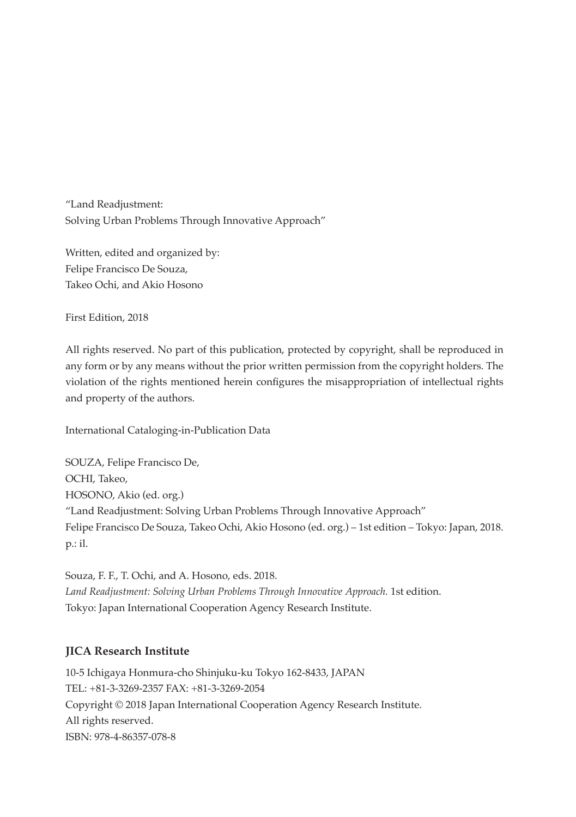"Land Readjustment: Solving Urban Problems Through Innovative Approach"

Written, edited and organized by: Felipe Francisco De Souza, Takeo Ochi, and Akio Hosono

First Edition, 2018

All rights reserved. No part of this publication, protected by copyright, shall be reproduced in any form or by any means without the prior written permission from the copyright holders. The violation of the rights mentioned herein configures the misappropriation of intellectual rights and property of the authors.

International Cataloging-in-Publication Data

SOUZA, Felipe Francisco De, OCHI, Takeo, HOSONO, Akio (ed. org.) "Land Readjustment: Solving Urban Problems Through Innovative Approach" Felipe Francisco De Souza, Takeo Ochi, Akio Hosono (ed. org.) – 1st edition – Tokyo: Japan, 2018. p.: il.

Souza, F. F., T. Ochi, and A. Hosono, eds. 2018. *Land Readjustment: Solving Urban Problems Through Innovative Approach.* 1st edition. Tokyo: Japan International Cooperation Agency Research Institute.

#### **JICA Research Institute**

10-5 Ichigaya Honmura-cho Shinjuku-ku Tokyo 162-8433, JAPAN TEL: +81-3-3269-2357 FAX: +81-3-3269-2054 Copyright © 2018 Japan International Cooperation Agency Research Institute. All rights reserved. ISBN: 978-4-86357-078-8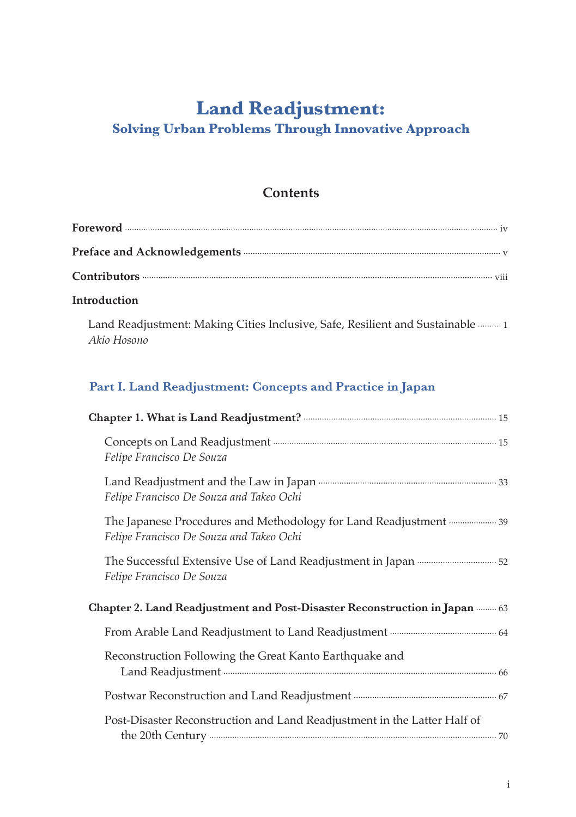### **Land Readjustment:**

#### **Solving Urban Problems Through Innovative Approach**

#### **Contents**

#### **Introduction**

Land Readjustment: Making Cities Inclusive, Safe, Resilient and Sustainable 1 *Akio Hosono*

#### **Part I. Land Readjustment: Concepts and Practice in Japan**

| Felipe Francisco De Souza                                                                                    |  |  |
|--------------------------------------------------------------------------------------------------------------|--|--|
| Felipe Francisco De Souza and Takeo Ochi                                                                     |  |  |
| The Japanese Procedures and Methodology for Land Readjustment 39<br>Felipe Francisco De Souza and Takeo Ochi |  |  |
| Felipe Francisco De Souza                                                                                    |  |  |
| Chapter 2. Land Readjustment and Post-Disaster Reconstruction in Japan  63                                   |  |  |
|                                                                                                              |  |  |
| Reconstruction Following the Great Kanto Earthquake and                                                      |  |  |
|                                                                                                              |  |  |
| Post-Disaster Reconstruction and Land Readjustment in the Latter Half of                                     |  |  |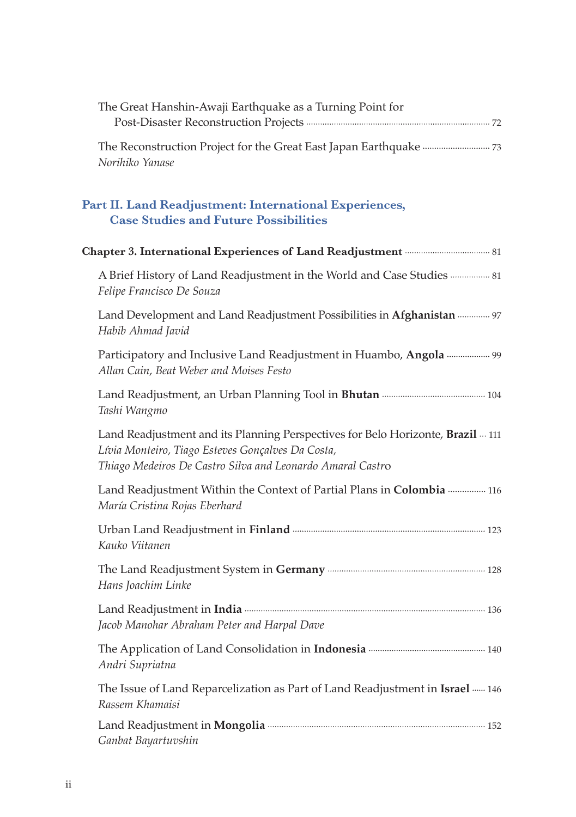| The Great Hanshin-Awaji Earthquake as a Turning Point for                                                                                                                                          |
|----------------------------------------------------------------------------------------------------------------------------------------------------------------------------------------------------|
| Norihiko Yanase                                                                                                                                                                                    |
| Part II. Land Readjustment: International Experiences,<br><b>Case Studies and Future Possibilities</b>                                                                                             |
| Chapter 3. International Experiences of Land Readjustment <b>multiment</b> and Readjustment <b>contains a</b>                                                                                      |
| A Brief History of Land Readjustment in the World and Case Studies  81<br>Felipe Francisco De Souza                                                                                                |
| Land Development and Land Readjustment Possibilities in Afghanistan  97<br>Habib Ahmad Javid                                                                                                       |
| Participatory and Inclusive Land Readjustment in Huambo, Angola  99<br>Allan Cain, Beat Weber and Moises Festo                                                                                     |
| Tashi Wangmo                                                                                                                                                                                       |
| Land Readjustment and its Planning Perspectives for Belo Horizonte, Brazil  111<br>Lívia Monteiro, Tiago Esteves Gonçalves Da Costa,<br>Thiago Medeiros De Castro Silva and Leonardo Amaral Castro |
| Land Readjustment Within the Context of Partial Plans in Colombia  116<br>María Cristina Rojas Eberhard                                                                                            |
| Kauko Viitanen                                                                                                                                                                                     |
| Hans Joachim Linke                                                                                                                                                                                 |
| Jacob Manohar Abraham Peter and Harpal Dave                                                                                                                                                        |
| Andri Supriatna                                                                                                                                                                                    |
| The Issue of Land Reparcelization as Part of Land Readjustment in Israel ----- 146<br>Rassem Khamaisi                                                                                              |
| Ganbat Bayartuvshin                                                                                                                                                                                |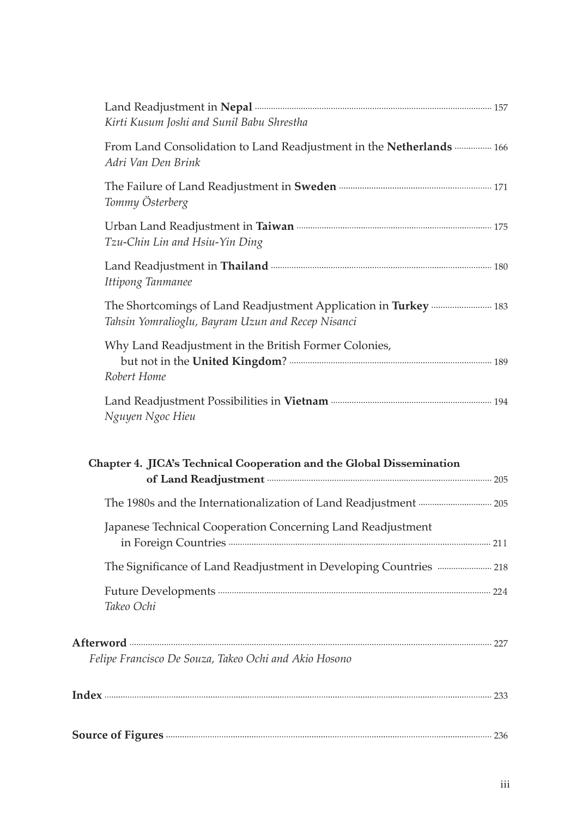| Kirti Kusum Joshi and Sunil Babu Shrestha                                                                             |  |
|-----------------------------------------------------------------------------------------------------------------------|--|
| From Land Consolidation to Land Readjustment in the Netherlands  166<br>Adri Van Den Brink                            |  |
| Tommy Österberg                                                                                                       |  |
| Tzu-Chin Lin and Hsiu-Yin Ding                                                                                        |  |
| Ittipong Tanmanee                                                                                                     |  |
| The Shortcomings of Land Readjustment Application in Turkey  183<br>Tahsin Yomralioglu, Bayram Uzun and Recep Nisanci |  |
| Why Land Readjustment in the British Former Colonies,<br>Robert Home                                                  |  |
|                                                                                                                       |  |
| Nguyen Ngoc Hieu                                                                                                      |  |
| Chapter 4. JICA's Technical Cooperation and the Global Dissemination                                                  |  |
|                                                                                                                       |  |
| Japanese Technical Cooperation Concerning Land Readjustment                                                           |  |
| The Significance of Land Readjustment in Developing Countries  218                                                    |  |
| Takeo Ochi                                                                                                            |  |
| Felipe Francisco De Souza, Takeo Ochi and Akio Hosono                                                                 |  |
|                                                                                                                       |  |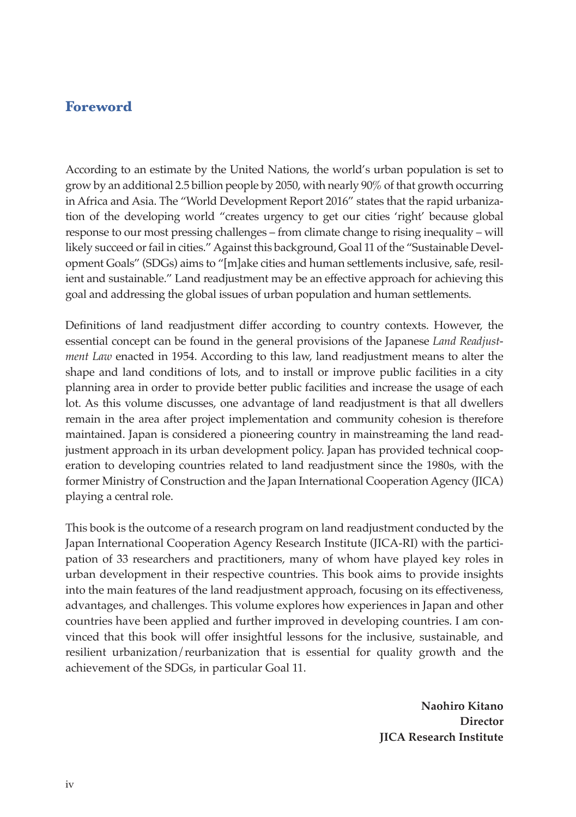#### **Foreword**

According to an estimate by the United Nations, the world's urban population is set to grow by an additional 2.5 billion people by 2050, with nearly 90% of that growth occurring in Africa and Asia. The "World Development Report 2016" states that the rapid urbanization of the developing world "creates urgency to get our cities 'right' because global response to our most pressing challenges – from climate change to rising inequality – will likely succeed or fail in cities." Against this background, Goal 11 of the "Sustainable Development Goals" (SDGs) aims to "[m]ake cities and human settlements inclusive, safe, resilient and sustainable." Land readjustment may be an effective approach for achieving this goal and addressing the global issues of urban population and human settlements.

Definitions of land readjustment differ according to country contexts. However, the essential concept can be found in the general provisions of the Japanese *Land Readjustment Law* enacted in 1954. According to this law, land readjustment means to alter the shape and land conditions of lots, and to install or improve public facilities in a city planning area in order to provide better public facilities and increase the usage of each lot. As this volume discusses, one advantage of land readjustment is that all dwellers remain in the area after project implementation and community cohesion is therefore maintained. Japan is considered a pioneering country in mainstreaming the land readjustment approach in its urban development policy. Japan has provided technical cooperation to developing countries related to land readjustment since the 1980s, with the former Ministry of Construction and the Japan International Cooperation Agency (JICA) playing a central role.

This book is the outcome of a research program on land readjustment conducted by the Japan International Cooperation Agency Research Institute (JICA-RI) with the participation of 33 researchers and practitioners, many of whom have played key roles in urban development in their respective countries. This book aims to provide insights into the main features of the land readjustment approach, focusing on its effectiveness, advantages, and challenges. This volume explores how experiences in Japan and other countries have been applied and further improved in developing countries. I am convinced that this book will offer insightful lessons for the inclusive, sustainable, and resilient urbanization/reurbanization that is essential for quality growth and the achievement of the SDGs, in particular Goal 11.

> **Naohiro Kitano Director JICA Research Institute**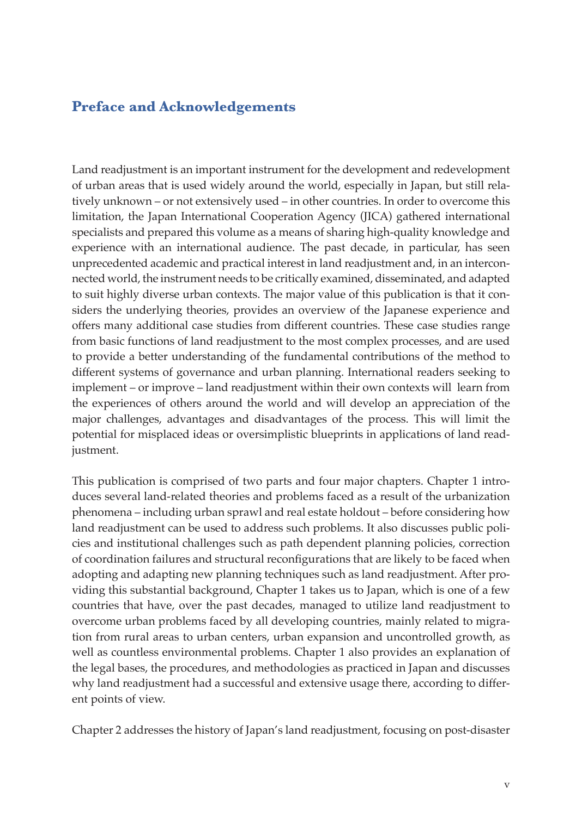#### **Preface and Acknowledgements**

Land readjustment is an important instrument for the development and redevelopment of urban areas that is used widely around the world, especially in Japan, but still relatively unknown – or not extensively used – in other countries. In order to overcome this limitation, the Japan International Cooperation Agency (JICA) gathered international specialists and prepared this volume as a means of sharing high-quality knowledge and experience with an international audience. The past decade, in particular, has seen unprecedented academic and practical interest in land readjustment and, in an interconnected world, the instrument needs to be critically examined, disseminated, and adapted to suit highly diverse urban contexts. The major value of this publication is that it considers the underlying theories, provides an overview of the Japanese experience and offers many additional case studies from different countries. These case studies range from basic functions of land readjustment to the most complex processes, and are used to provide a better understanding of the fundamental contributions of the method to different systems of governance and urban planning. International readers seeking to implement – or improve – land readjustment within their own contexts will learn from the experiences of others around the world and will develop an appreciation of the major challenges, advantages and disadvantages of the process. This will limit the potential for misplaced ideas or oversimplistic blueprints in applications of land readjustment.

This publication is comprised of two parts and four major chapters. Chapter 1 introduces several land-related theories and problems faced as a result of the urbanization phenomena – including urban sprawl and real estate holdout – before considering how land readjustment can be used to address such problems. It also discusses public policies and institutional challenges such as path dependent planning policies, correction of coordination failures and structural reconfigurations that are likely to be faced when adopting and adapting new planning techniques such as land readjustment. After providing this substantial background, Chapter 1 takes us to Japan, which is one of a few countries that have, over the past decades, managed to utilize land readjustment to overcome urban problems faced by all developing countries, mainly related to migration from rural areas to urban centers, urban expansion and uncontrolled growth, as well as countless environmental problems. Chapter 1 also provides an explanation of the legal bases, the procedures, and methodologies as practiced in Japan and discusses why land readjustment had a successful and extensive usage there, according to different points of view.

Chapter 2 addresses the history of Japan's land readjustment, focusing on post-disaster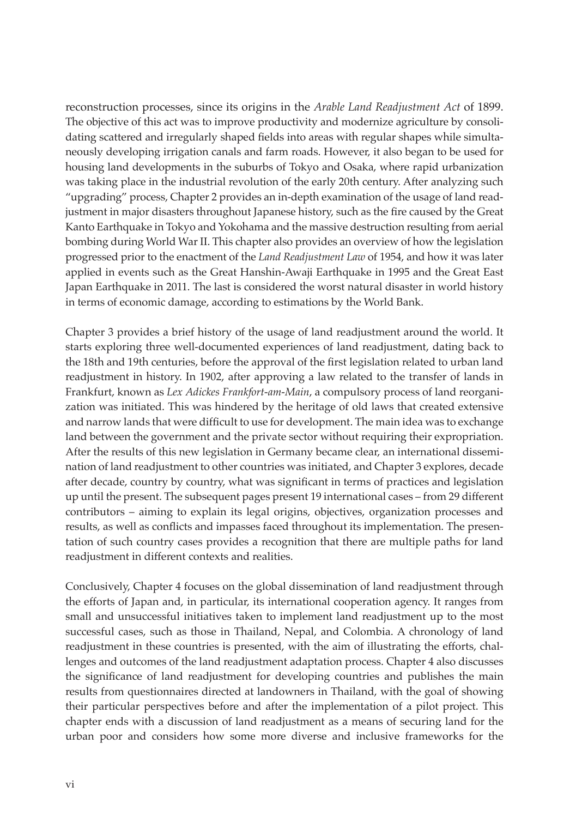reconstruction processes, since its origins in the *Arable Land Readjustment Act* of 1899. The objective of this act was to improve productivity and modernize agriculture by consolidating scattered and irregularly shaped fields into areas with regular shapes while simultaneously developing irrigation canals and farm roads. However, it also began to be used for housing land developments in the suburbs of Tokyo and Osaka, where rapid urbanization was taking place in the industrial revolution of the early 20th century. After analyzing such "upgrading" process, Chapter 2 provides an in-depth examination of the usage of land readjustment in major disasters throughout Japanese history, such as the fire caused by the Great Kanto Earthquake in Tokyo and Yokohama and the massive destruction resulting from aerial bombing during World War II. This chapter also provides an overview of how the legislation progressed prior to the enactment of the *Land Readjustment Law* of 1954, and how it was later applied in events such as the Great Hanshin-Awaji Earthquake in 1995 and the Great East Japan Earthquake in 2011. The last is considered the worst natural disaster in world history in terms of economic damage, according to estimations by the World Bank.

Chapter 3 provides a brief history of the usage of land readjustment around the world. It starts exploring three well-documented experiences of land readjustment, dating back to the 18th and 19th centuries, before the approval of the first legislation related to urban land readjustment in history. In 1902, after approving a law related to the transfer of lands in Frankfurt, known as *Lex Adickes Frankfort-am-Main*, a compulsory process of land reorganization was initiated. This was hindered by the heritage of old laws that created extensive and narrow lands that were difficult to use for development. The main idea was to exchange land between the government and the private sector without requiring their expropriation. After the results of this new legislation in Germany became clear, an international dissemination of land readjustment to other countries was initiated, and Chapter 3 explores, decade after decade, country by country, what was significant in terms of practices and legislation up until the present. The subsequent pages present 19 international cases – from 29 different contributors – aiming to explain its legal origins, objectives, organization processes and results, as well as conflicts and impasses faced throughout its implementation. The presentation of such country cases provides a recognition that there are multiple paths for land readjustment in different contexts and realities.

Conclusively, Chapter 4 focuses on the global dissemination of land readjustment through the efforts of Japan and, in particular, its international cooperation agency. It ranges from small and unsuccessful initiatives taken to implement land readjustment up to the most successful cases, such as those in Thailand, Nepal, and Colombia. A chronology of land readjustment in these countries is presented, with the aim of illustrating the efforts, challenges and outcomes of the land readjustment adaptation process. Chapter 4 also discusses the significance of land readjustment for developing countries and publishes the main results from questionnaires directed at landowners in Thailand, with the goal of showing their particular perspectives before and after the implementation of a pilot project. This chapter ends with a discussion of land readjustment as a means of securing land for the urban poor and considers how some more diverse and inclusive frameworks for the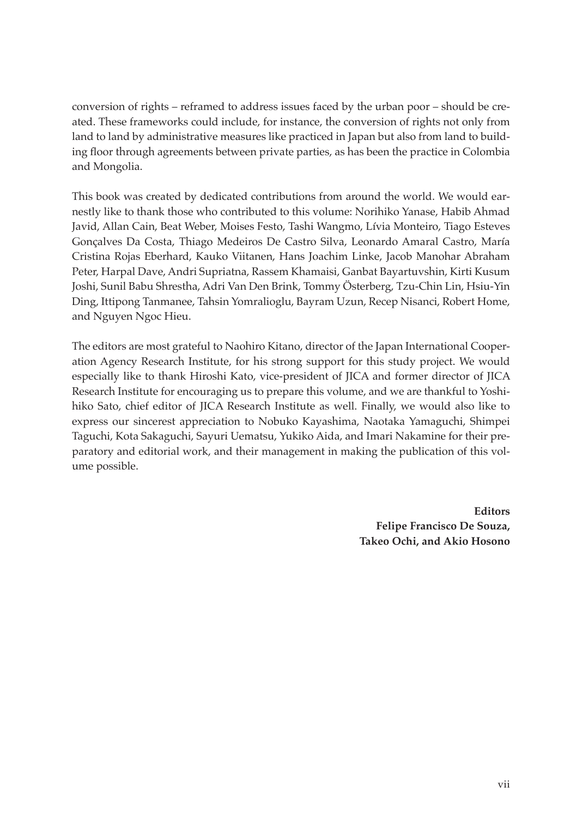conversion of rights – reframed to address issues faced by the urban poor – should be created. These frameworks could include, for instance, the conversion of rights not only from land to land by administrative measures like practiced in Japan but also from land to building floor through agreements between private parties, as has been the practice in Colombia and Mongolia.

This book was created by dedicated contributions from around the world. We would earnestly like to thank those who contributed to this volume: Norihiko Yanase, Habib Ahmad Javid, Allan Cain, Beat Weber, Moises Festo, Tashi Wangmo, Lívia Monteiro, Tiago Esteves Gonçalves Da Costa, Thiago Medeiros De Castro Silva, Leonardo Amaral Castro, María Cristina Rojas Eberhard, Kauko Viitanen, Hans Joachim Linke, Jacob Manohar Abraham Peter, Harpal Dave, Andri Supriatna, Rassem Khamaisi, Ganbat Bayartuvshin, Kirti Kusum Joshi, Sunil Babu Shrestha, Adri Van Den Brink, Tommy Österberg, Tzu-Chin Lin, Hsiu-Yin Ding, Ittipong Tanmanee, Tahsin Yomralioglu, Bayram Uzun, Recep Nisanci, Robert Home, and Nguyen Ngoc Hieu.

The editors are most grateful to Naohiro Kitano, director of the Japan International Cooperation Agency Research Institute, for his strong support for this study project. We would especially like to thank Hiroshi Kato, vice-president of JICA and former director of JICA Research Institute for encouraging us to prepare this volume, and we are thankful to Yoshihiko Sato, chief editor of JICA Research Institute as well. Finally, we would also like to express our sincerest appreciation to Nobuko Kayashima, Naotaka Yamaguchi, Shimpei Taguchi, Kota Sakaguchi, Sayuri Uematsu, Yukiko Aida, and Imari Nakamine for their preparatory and editorial work, and their management in making the publication of this volume possible.

> **Editors Felipe Francisco De Souza, Takeo Ochi, and Akio Hosono**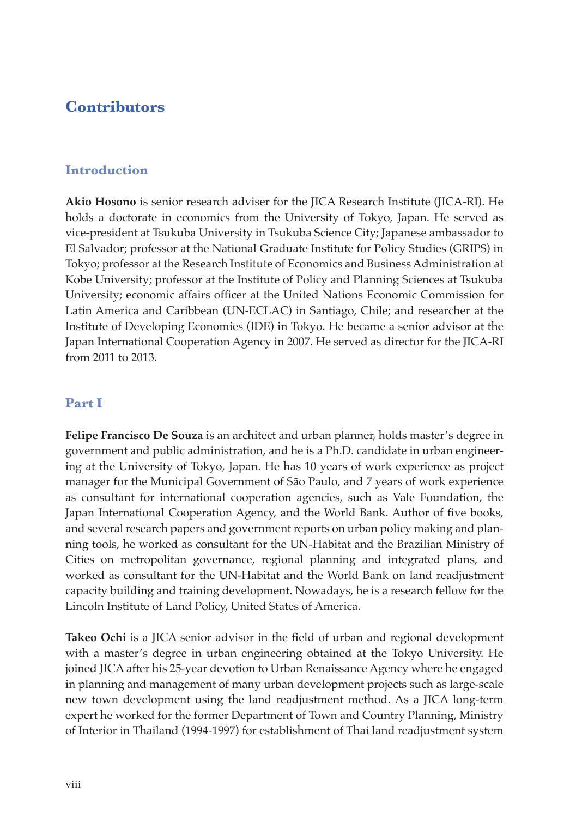#### **Contributors**

#### **Introduction**

**Akio Hosono** is senior research adviser for the JICA Research Institute (JICA-RI). He holds a doctorate in economics from the University of Tokyo, Japan. He served as vice-president at Tsukuba University in Tsukuba Science City; Japanese ambassador to El Salvador; professor at the National Graduate Institute for Policy Studies (GRIPS) in Tokyo; professor at the Research Institute of Economics and Business Administration at Kobe University; professor at the Institute of Policy and Planning Sciences at Tsukuba University; economic affairs officer at the United Nations Economic Commission for Latin America and Caribbean (UN-ECLAC) in Santiago, Chile; and researcher at the Institute of Developing Economies (IDE) in Tokyo. He became a senior advisor at the Japan International Cooperation Agency in 2007. He served as director for the JICA-RI from 2011 to 2013.

#### **Part I**

**Felipe Francisco De Souza** is an architect and urban planner, holds master's degree in government and public administration, and he is a Ph.D. candidate in urban engineering at the University of Tokyo, Japan. He has 10 years of work experience as project manager for the Municipal Government of São Paulo, and 7 years of work experience as consultant for international cooperation agencies, such as Vale Foundation, the Japan International Cooperation Agency, and the World Bank. Author of five books, and several research papers and government reports on urban policy making and planning tools, he worked as consultant for the UN-Habitat and the Brazilian Ministry of Cities on metropolitan governance, regional planning and integrated plans, and worked as consultant for the UN-Habitat and the World Bank on land readjustment capacity building and training development. Nowadays, he is a research fellow for the Lincoln Institute of Land Policy, United States of America.

**Takeo Ochi** is a JICA senior advisor in the field of urban and regional development with a master's degree in urban engineering obtained at the Tokyo University. He joined JICA after his 25-year devotion to Urban Renaissance Agency where he engaged in planning and management of many urban development projects such as large-scale new town development using the land readjustment method. As a JICA long-term expert he worked for the former Department of Town and Country Planning, Ministry of Interior in Thailand (1994-1997) for establishment of Thai land readjustment system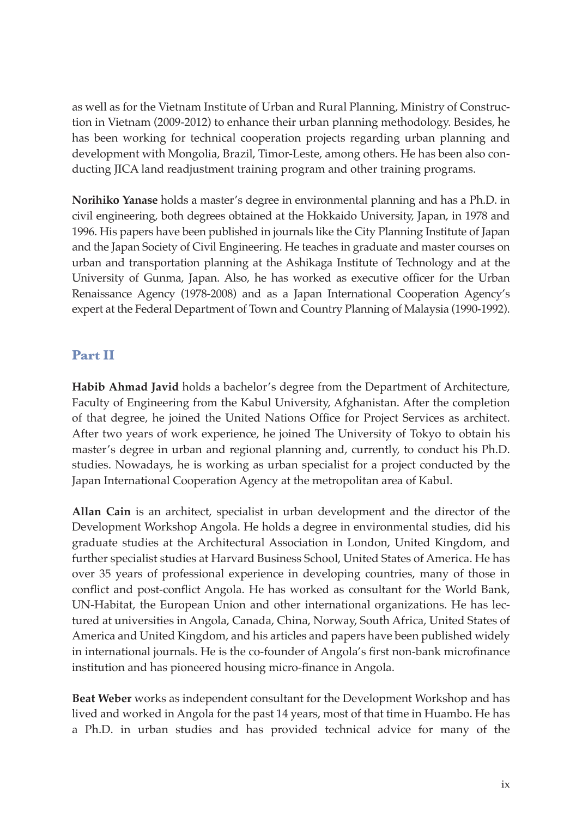as well as for the Vietnam Institute of Urban and Rural Planning, Ministry of Construction in Vietnam (2009-2012) to enhance their urban planning methodology. Besides, he has been working for technical cooperation projects regarding urban planning and development with Mongolia, Brazil, Timor-Leste, among others. He has been also conducting JICA land readjustment training program and other training programs.

**Norihiko Yanase** holds a master's degree in environmental planning and has a Ph.D. in civil engineering, both degrees obtained at the Hokkaido University, Japan, in 1978 and 1996. His papers have been published in journals like the City Planning Institute of Japan and the Japan Society of Civil Engineering. He teaches in graduate and master courses on urban and transportation planning at the Ashikaga Institute of Technology and at the University of Gunma, Japan. Also, he has worked as executive officer for the Urban Renaissance Agency (1978-2008) and as a Japan International Cooperation Agency's expert at the Federal Department of Town and Country Planning of Malaysia (1990-1992).

#### **Part II**

**Habib Ahmad Javid** holds a bachelor's degree from the Department of Architecture, Faculty of Engineering from the Kabul University, Afghanistan. After the completion of that degree, he joined the United Nations Office for Project Services as architect. After two years of work experience, he joined The University of Tokyo to obtain his master's degree in urban and regional planning and, currently, to conduct his Ph.D. studies. Nowadays, he is working as urban specialist for a project conducted by the Japan International Cooperation Agency at the metropolitan area of Kabul.

**Allan Cain** is an architect, specialist in urban development and the director of the Development Workshop Angola. He holds a degree in environmental studies, did his graduate studies at the Architectural Association in London, United Kingdom, and further specialist studies at Harvard Business School, United States of America. He has over 35 years of professional experience in developing countries, many of those in conflict and post-conflict Angola. He has worked as consultant for the World Bank, UN-Habitat, the European Union and other international organizations. He has lectured at universities in Angola, Canada, China, Norway, South Africa, United States of America and United Kingdom, and his articles and papers have been published widely in international journals. He is the co-founder of Angola's first non-bank microfinance institution and has pioneered housing micro-finance in Angola.

**Beat Weber** works as independent consultant for the Development Workshop and has lived and worked in Angola for the past 14 years, most of that time in Huambo. He has a Ph.D. in urban studies and has provided technical advice for many of the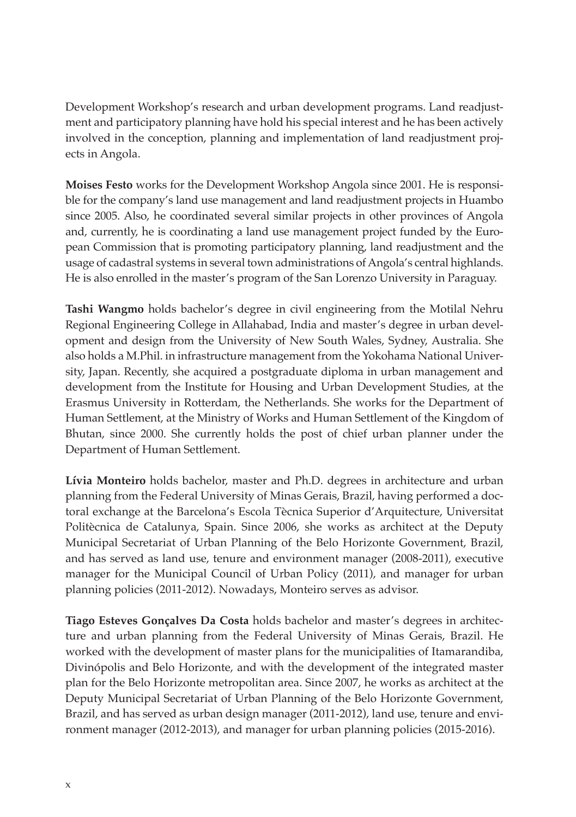Development Workshop's research and urban development programs. Land readjustment and participatory planning have hold his special interest and he has been actively involved in the conception, planning and implementation of land readjustment projects in Angola.

**Moises Festo** works for the Development Workshop Angola since 2001. He is responsible for the company's land use management and land readjustment projects in Huambo since 2005. Also, he coordinated several similar projects in other provinces of Angola and, currently, he is coordinating a land use management project funded by the European Commission that is promoting participatory planning, land readjustment and the usage of cadastral systems in several town administrations of Angola's central highlands. He is also enrolled in the master's program of the San Lorenzo University in Paraguay.

**Tashi Wangmo** holds bachelor's degree in civil engineering from the Motilal Nehru Regional Engineering College in Allahabad, India and master's degree in urban development and design from the University of New South Wales, Sydney, Australia. She also holds a M.Phil. in infrastructure management from the Yokohama National University, Japan. Recently, she acquired a postgraduate diploma in urban management and development from the Institute for Housing and Urban Development Studies, at the Erasmus University in Rotterdam, the Netherlands. She works for the Department of Human Settlement, at the Ministry of Works and Human Settlement of the Kingdom of Bhutan, since 2000. She currently holds the post of chief urban planner under the Department of Human Settlement.

**Lívia Monteiro** holds bachelor, master and Ph.D. degrees in architecture and urban planning from the Federal University of Minas Gerais, Brazil, having performed a doctoral exchange at the Barcelona's Escola Tècnica Superior d'Arquitecture, Universitat Politècnica de Catalunya, Spain. Since 2006, she works as architect at the Deputy Municipal Secretariat of Urban Planning of the Belo Horizonte Government, Brazil, and has served as land use, tenure and environment manager (2008-2011), executive manager for the Municipal Council of Urban Policy (2011), and manager for urban planning policies (2011-2012). Nowadays, Monteiro serves as advisor.

**Tiago Esteves Gonçalves Da Costa** holds bachelor and master's degrees in architecture and urban planning from the Federal University of Minas Gerais, Brazil. He worked with the development of master plans for the municipalities of Itamarandiba, Divinópolis and Belo Horizonte, and with the development of the integrated master plan for the Belo Horizonte metropolitan area. Since 2007, he works as architect at the Deputy Municipal Secretariat of Urban Planning of the Belo Horizonte Government, Brazil, and has served as urban design manager (2011-2012), land use, tenure and environment manager (2012-2013), and manager for urban planning policies (2015-2016).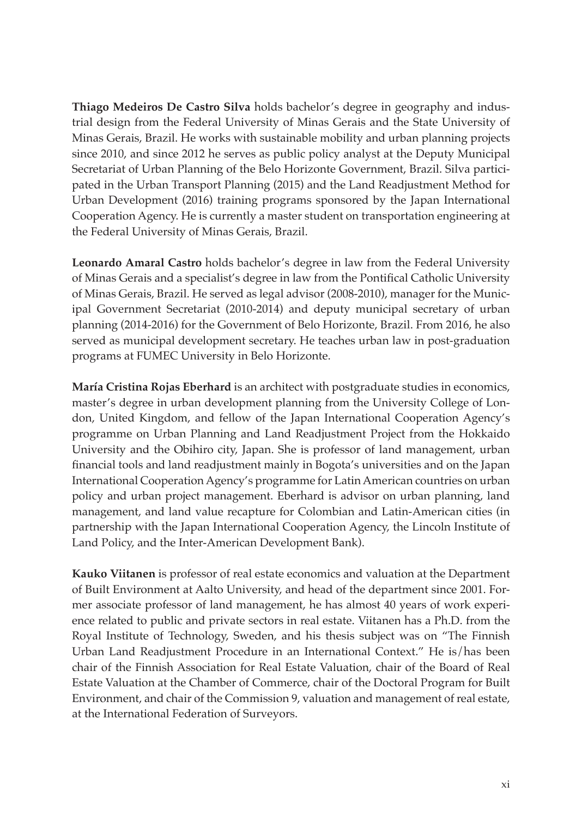**Thiago Medeiros De Castro Silva** holds bachelor's degree in geography and industrial design from the Federal University of Minas Gerais and the State University of Minas Gerais, Brazil. He works with sustainable mobility and urban planning projects since 2010, and since 2012 he serves as public policy analyst at the Deputy Municipal Secretariat of Urban Planning of the Belo Horizonte Government, Brazil. Silva participated in the Urban Transport Planning (2015) and the Land Readjustment Method for Urban Development (2016) training programs sponsored by the Japan International Cooperation Agency. He is currently a master student on transportation engineering at the Federal University of Minas Gerais, Brazil.

**Leonardo Amaral Castro** holds bachelor's degree in law from the Federal University of Minas Gerais and a specialist's degree in law from the Pontifical Catholic University of Minas Gerais, Brazil. He served as legal advisor (2008-2010), manager for the Municipal Government Secretariat (2010-2014) and deputy municipal secretary of urban planning (2014-2016) for the Government of Belo Horizonte, Brazil. From 2016, he also served as municipal development secretary. He teaches urban law in post-graduation programs at FUMEC University in Belo Horizonte.

**María Cristina Rojas Eberhard** is an architect with postgraduate studies in economics, master's degree in urban development planning from the University College of London, United Kingdom, and fellow of the Japan International Cooperation Agency's programme on Urban Planning and Land Readjustment Project from the Hokkaido University and the Obihiro city, Japan. She is professor of land management, urban financial tools and land readjustment mainly in Bogota's universities and on the Japan International Cooperation Agency's programme for Latin American countries on urban policy and urban project management. Eberhard is advisor on urban planning, land management, and land value recapture for Colombian and Latin-American cities (in partnership with the Japan International Cooperation Agency, the Lincoln Institute of Land Policy, and the Inter-American Development Bank).

**Kauko Viitanen** is professor of real estate economics and valuation at the Department of Built Environment at Aalto University, and head of the department since 2001. Former associate professor of land management, he has almost 40 years of work experience related to public and private sectors in real estate. Viitanen has a Ph.D. from the Royal Institute of Technology, Sweden, and his thesis subject was on "The Finnish Urban Land Readjustment Procedure in an International Context." He is/has been chair of the Finnish Association for Real Estate Valuation, chair of the Board of Real Estate Valuation at the Chamber of Commerce, chair of the Doctoral Program for Built Environment, and chair of the Commission 9, valuation and management of real estate, at the International Federation of Surveyors.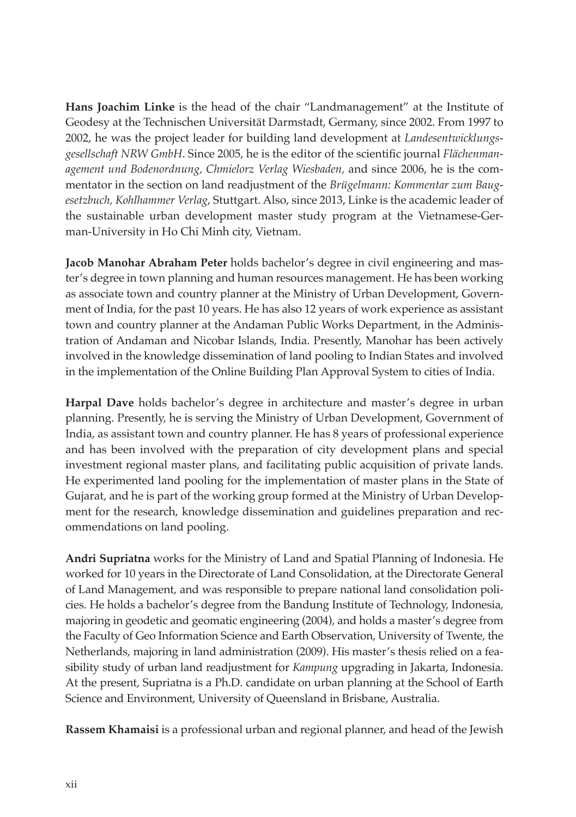**Hans Joachim Linke** is the head of the chair "Landmanagement" at the Institute of Geodesy at the Technischen Universität Darmstadt, Germany, since 2002. From 1997 to 2002, he was the project leader for building land development at *Landesentwicklungsgesellschaft NRW GmbH*. Since 2005, he is the editor of the scientific journal *Flächenmanagement und Bodenordnung, Chmielorz Verlag Wiesbaden,* and since 2006, he is the commentator in the section on land readjustment of the *Brügelmann: Kommentar zum Baugesetzbuch, Kohlhammer Verlag*, Stuttgart. Also, since 2013, Linke is the academic leader of the sustainable urban development master study program at the Vietnamese-German-University in Ho Chi Minh city, Vietnam.

**Jacob Manohar Abraham Peter** holds bachelor's degree in civil engineering and master's degree in town planning and human resources management. He has been working as associate town and country planner at the Ministry of Urban Development, Government of India, for the past 10 years. He has also 12 years of work experience as assistant town and country planner at the Andaman Public Works Department, in the Administration of Andaman and Nicobar Islands, India. Presently, Manohar has been actively involved in the knowledge dissemination of land pooling to Indian States and involved in the implementation of the Online Building Plan Approval System to cities of India.

**Harpal Dave** holds bachelor's degree in architecture and master's degree in urban planning. Presently, he is serving the Ministry of Urban Development, Government of India, as assistant town and country planner. He has 8 years of professional experience and has been involved with the preparation of city development plans and special investment regional master plans, and facilitating public acquisition of private lands. He experimented land pooling for the implementation of master plans in the State of Gujarat, and he is part of the working group formed at the Ministry of Urban Development for the research, knowledge dissemination and guidelines preparation and recommendations on land pooling.

**Andri Supriatna** works for the Ministry of Land and Spatial Planning of Indonesia. He worked for 10 years in the Directorate of Land Consolidation, at the Directorate General of Land Management, and was responsible to prepare national land consolidation policies. He holds a bachelor's degree from the Bandung Institute of Technology, Indonesia, majoring in geodetic and geomatic engineering (2004), and holds a master's degree from the Faculty of Geo Information Science and Earth Observation, University of Twente, the Netherlands, majoring in land administration (2009). His master's thesis relied on a feasibility study of urban land readjustment for *Kampung* upgrading in Jakarta, Indonesia. At the present, Supriatna is a Ph.D. candidate on urban planning at the School of Earth Science and Environment, University of Queensland in Brisbane, Australia.

**Rassem Khamaisi** is a professional urban and regional planner, and head of the Jewish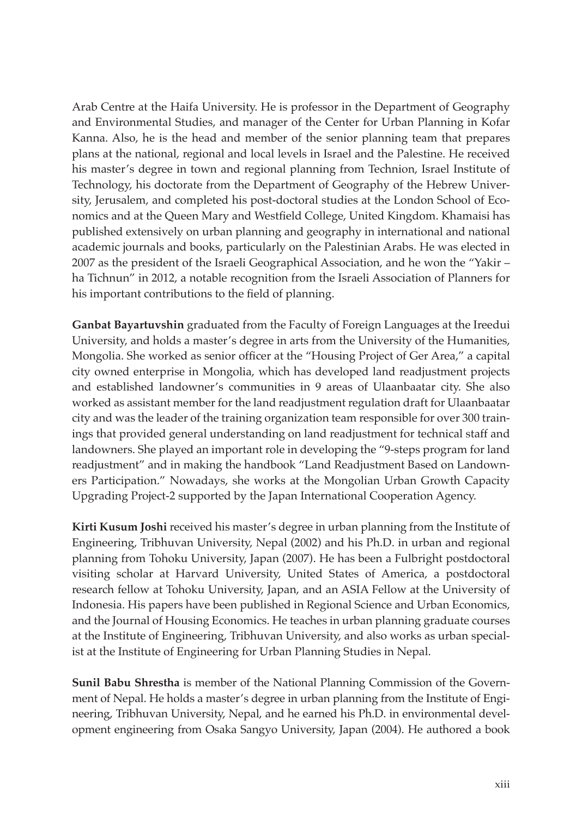Arab Centre at the Haifa University. He is professor in the Department of Geography and Environmental Studies, and manager of the Center for Urban Planning in Kofar Kanna. Also, he is the head and member of the senior planning team that prepares plans at the national, regional and local levels in Israel and the Palestine. He received his master's degree in town and regional planning from Technion, Israel Institute of Technology, his doctorate from the Department of Geography of the Hebrew University, Jerusalem, and completed his post-doctoral studies at the London School of Economics and at the Queen Mary and Westfield College, United Kingdom. Khamaisi has published extensively on urban planning and geography in international and national academic journals and books, particularly on the Palestinian Arabs. He was elected in 2007 as the president of the Israeli Geographical Association, and he won the "Yakir – ha Tichnun" in 2012, a notable recognition from the Israeli Association of Planners for his important contributions to the field of planning.

**Ganbat Bayartuvshin** graduated from the Faculty of Foreign Languages at the Ireedui University, and holds a master's degree in arts from the University of the Humanities, Mongolia. She worked as senior officer at the "Housing Project of Ger Area," a capital city owned enterprise in Mongolia, which has developed land readjustment projects and established landowner's communities in 9 areas of Ulaanbaatar city. She also worked as assistant member for the land readjustment regulation draft for Ulaanbaatar city and was the leader of the training organization team responsible for over 300 trainings that provided general understanding on land readjustment for technical staff and landowners. She played an important role in developing the "9-steps program for land readjustment" and in making the handbook "Land Readjustment Based on Landowners Participation." Nowadays, she works at the Mongolian Urban Growth Capacity Upgrading Project-2 supported by the Japan International Cooperation Agency.

**Kirti Kusum Joshi** received his master's degree in urban planning from the Institute of Engineering, Tribhuvan University, Nepal (2002) and his Ph.D. in urban and regional planning from Tohoku University, Japan (2007). He has been a Fulbright postdoctoral visiting scholar at Harvard University, United States of America, a postdoctoral research fellow at Tohoku University, Japan, and an ASIA Fellow at the University of Indonesia. His papers have been published in Regional Science and Urban Economics, and the Journal of Housing Economics. He teaches in urban planning graduate courses at the Institute of Engineering, Tribhuvan University, and also works as urban specialist at the Institute of Engineering for Urban Planning Studies in Nepal.

**Sunil Babu Shrestha** is member of the National Planning Commission of the Government of Nepal. He holds a master's degree in urban planning from the Institute of Engineering, Tribhuvan University, Nepal, and he earned his Ph.D. in environmental development engineering from Osaka Sangyo University, Japan (2004). He authored a book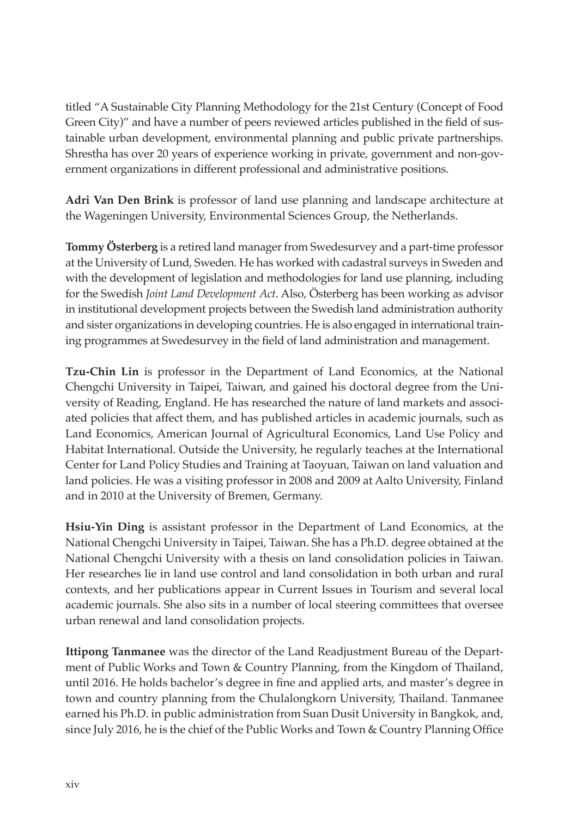titled "A Sustainable City Planning Methodology for the 21st Century (Concept of Food Green City)" and have a number of peers reviewed articles published in the field of sustainable urban development, environmental planning and public private partnerships. Shrestha has over 20 years of experience working in private, government and non-government organizations in different professional and administrative positions.

**Adri Van Den Brink** is professor of land use planning and landscape architecture at the Wageningen University, Environmental Sciences Group, the Netherlands.

**Tommy Österberg** is a retired land manager from Swedesurvey and a part-time professor at the University of Lund, Sweden. He has worked with cadastral surveys in Sweden and with the development of legislation and methodologies for land use planning, including for the Swedish *Joint Land Development Act*. Also, Österberg has been working as advisor in institutional development projects between the Swedish land administration authority and sister organizations in developing countries. He is also engaged in international training programmes at Swedesurvey in the field of land administration and management.

**Tzu-Chin Lin** is professor in the Department of Land Economics, at the National Chengchi University in Taipei, Taiwan, and gained his doctoral degree from the University of Reading, England. He has researched the nature of land markets and associated policies that affect them, and has published articles in academic journals, such as Land Economics, American Journal of Agricultural Economics, Land Use Policy and Habitat International. Outside the University, he regularly teaches at the International Center for Land Policy Studies and Training at Taoyuan, Taiwan on land valuation and land policies. He was a visiting professor in 2008 and 2009 at Aalto University, Finland and in 2010 at the University of Bremen, Germany.

**Hsiu-Yin Ding** is assistant professor in the Department of Land Economics, at the National Chengchi University in Taipei, Taiwan. She has a Ph.D. degree obtained at the National Chengchi University with a thesis on land consolidation policies in Taiwan. Her researches lie in land use control and land consolidation in both urban and rural contexts, and her publications appear in Current Issues in Tourism and several local academic journals. She also sits in a number of local steering committees that oversee urban renewal and land consolidation projects.

**Ittipong Tanmanee** was the director of the Land Readjustment Bureau of the Department of Public Works and Town & Country Planning, from the Kingdom of Thailand, until 2016. He holds bachelor's degree in fine and applied arts, and master's degree in town and country planning from the Chulalongkorn University, Thailand. Tanmanee earned his Ph.D. in public administration from Suan Dusit University in Bangkok, and, since July 2016, he is the chief of the Public Works and Town & Country Planning Office